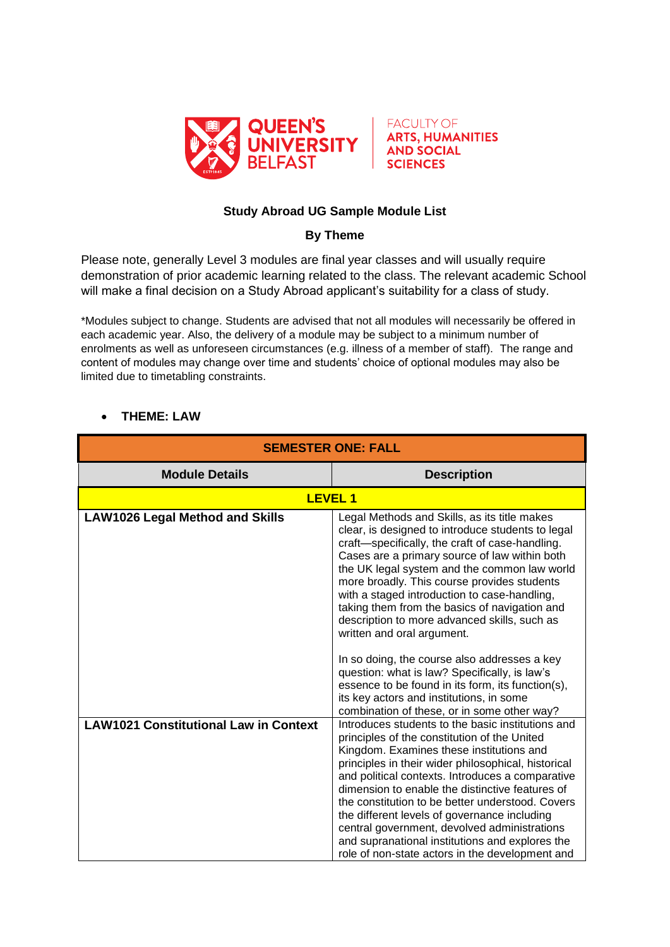



## **Study Abroad UG Sample Module List**

## **By Theme**

Please note, generally Level 3 modules are final year classes and will usually require demonstration of prior academic learning related to the class. The relevant academic School will make a final decision on a Study Abroad applicant's suitability for a class of study.

\*Modules subject to change. Students are advised that not all modules will necessarily be offered in each academic year. Also, the delivery of a module may be subject to a minimum number of enrolments as well as unforeseen circumstances (e.g. illness of a member of staff). The range and content of modules may change over time and students' choice of optional modules may also be limited due to timetabling constraints.

| <b>SEMESTER ONE: FALL</b>                    |                                                                                                                                                                                                                                                                                                                                                                                                                                                                                                                                                                       |
|----------------------------------------------|-----------------------------------------------------------------------------------------------------------------------------------------------------------------------------------------------------------------------------------------------------------------------------------------------------------------------------------------------------------------------------------------------------------------------------------------------------------------------------------------------------------------------------------------------------------------------|
| <b>Module Details</b>                        | <b>Description</b>                                                                                                                                                                                                                                                                                                                                                                                                                                                                                                                                                    |
| <b>LEVEL 1</b>                               |                                                                                                                                                                                                                                                                                                                                                                                                                                                                                                                                                                       |
| <b>LAW1026 Legal Method and Skills</b>       | Legal Methods and Skills, as its title makes<br>clear, is designed to introduce students to legal<br>craft-specifically, the craft of case-handling.<br>Cases are a primary source of law within both<br>the UK legal system and the common law world<br>more broadly. This course provides students<br>with a staged introduction to case-handling,<br>taking them from the basics of navigation and<br>description to more advanced skills, such as<br>written and oral argument.                                                                                   |
|                                              | In so doing, the course also addresses a key<br>question: what is law? Specifically, is law's<br>essence to be found in its form, its function(s),<br>its key actors and institutions, in some<br>combination of these, or in some other way?                                                                                                                                                                                                                                                                                                                         |
| <b>LAW1021 Constitutional Law in Context</b> | Introduces students to the basic institutions and<br>principles of the constitution of the United<br>Kingdom. Examines these institutions and<br>principles in their wider philosophical, historical<br>and political contexts. Introduces a comparative<br>dimension to enable the distinctive features of<br>the constitution to be better understood. Covers<br>the different levels of governance including<br>central government, devolved administrations<br>and supranational institutions and explores the<br>role of non-state actors in the development and |

## **THEME: LAW**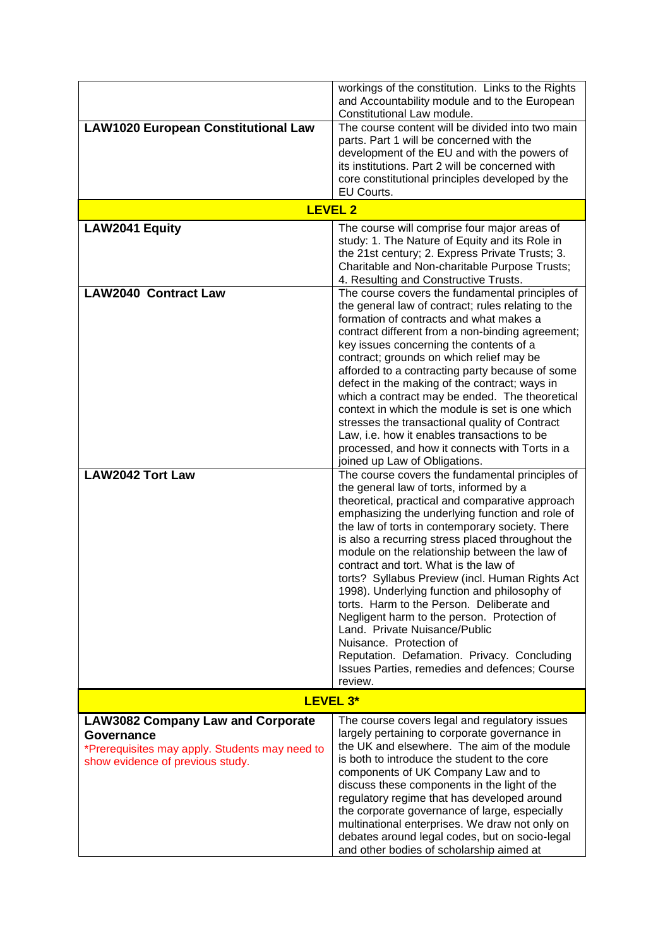|                                                              | workings of the constitution. Links to the Rights<br>and Accountability module and to the European<br>Constitutional Law module. |
|--------------------------------------------------------------|----------------------------------------------------------------------------------------------------------------------------------|
| <b>LAW1020 European Constitutional Law</b>                   | The course content will be divided into two main                                                                                 |
|                                                              | parts. Part 1 will be concerned with the<br>development of the EU and with the powers of                                         |
|                                                              | its institutions. Part 2 will be concerned with                                                                                  |
|                                                              | core constitutional principles developed by the<br>EU Courts.                                                                    |
|                                                              | <b>LEVEL 2</b>                                                                                                                   |
| LAW2041 Equity                                               | The course will comprise four major areas of                                                                                     |
|                                                              | study: 1. The Nature of Equity and its Role in<br>the 21st century; 2. Express Private Trusts; 3.                                |
|                                                              | Charitable and Non-charitable Purpose Trusts;                                                                                    |
| <b>LAW2040 Contract Law</b>                                  | 4. Resulting and Constructive Trusts.<br>The course covers the fundamental principles of                                         |
|                                                              | the general law of contract; rules relating to the                                                                               |
|                                                              | formation of contracts and what makes a<br>contract different from a non-binding agreement;                                      |
|                                                              | key issues concerning the contents of a                                                                                          |
|                                                              | contract; grounds on which relief may be<br>afforded to a contracting party because of some                                      |
|                                                              | defect in the making of the contract; ways in                                                                                    |
|                                                              | which a contract may be ended. The theoretical<br>context in which the module is set is one which                                |
|                                                              | stresses the transactional quality of Contract                                                                                   |
|                                                              | Law, i.e. how it enables transactions to be<br>processed, and how it connects with Torts in a                                    |
|                                                              | joined up Law of Obligations.                                                                                                    |
| <b>LAW2042 Tort Law</b>                                      | The course covers the fundamental principles of<br>the general law of torts, informed by a                                       |
|                                                              | theoretical, practical and comparative approach                                                                                  |
|                                                              | emphasizing the underlying function and role of<br>the law of torts in contemporary society. There                               |
|                                                              | is also a recurring stress placed throughout the                                                                                 |
|                                                              | module on the relationship between the law of<br>contract and tort. What is the law of                                           |
|                                                              | torts? Syllabus Preview (incl. Human Rights Act                                                                                  |
|                                                              | 1998). Underlying function and philosophy of<br>torts. Harm to the Person. Deliberate and                                        |
|                                                              | Negligent harm to the person. Protection of                                                                                      |
|                                                              | Land. Private Nuisance/Public<br>Nuisance. Protection of                                                                         |
|                                                              | Reputation. Defamation. Privacy. Concluding<br>Issues Parties, remedies and defences; Course                                     |
|                                                              | review.                                                                                                                          |
|                                                              | LEVEL 3*                                                                                                                         |
| <b>LAW3082 Company Law and Corporate</b>                     | The course covers legal and regulatory issues                                                                                    |
| Governance<br>*Prerequisites may apply. Students may need to | largely pertaining to corporate governance in<br>the UK and elsewhere. The aim of the module                                     |
| show evidence of previous study.                             | is both to introduce the student to the core                                                                                     |
|                                                              | components of UK Company Law and to<br>discuss these components in the light of the                                              |
|                                                              | regulatory regime that has developed around                                                                                      |
|                                                              | the corporate governance of large, especially<br>multinational enterprises. We draw not only on                                  |
|                                                              | debates around legal codes, but on socio-legal                                                                                   |
|                                                              | and other bodies of scholarship aimed at                                                                                         |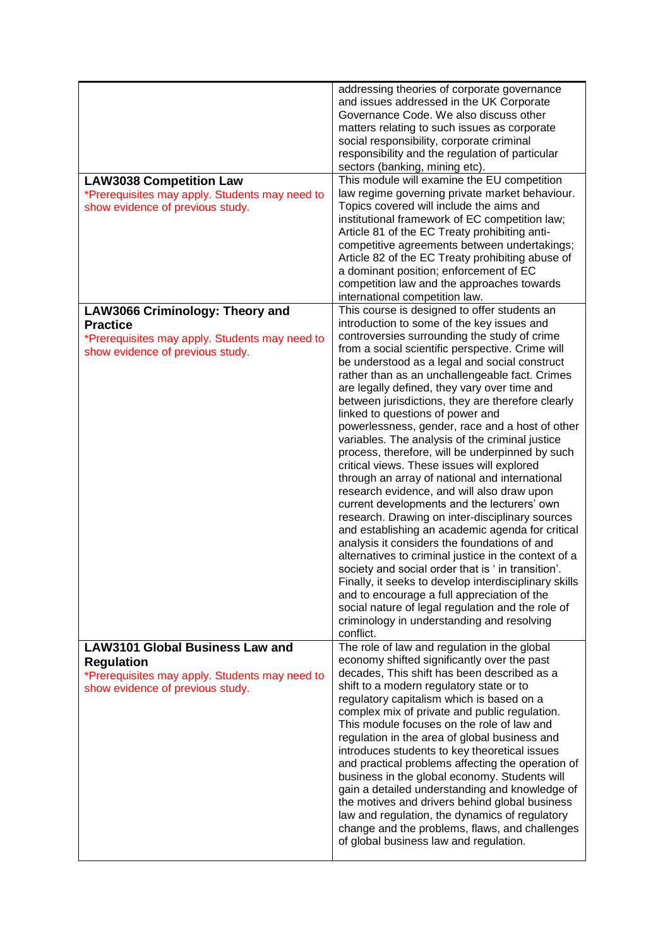| <b>LAW3038 Competition Law</b><br>*Prerequisites may apply. Students may need to<br>show evidence of previous study.                              | addressing theories of corporate governance<br>and issues addressed in the UK Corporate<br>Governance Code. We also discuss other<br>matters relating to such issues as corporate<br>social responsibility, corporate criminal<br>responsibility and the regulation of particular<br>sectors (banking, mining etc).<br>This module will examine the EU competition<br>law regime governing private market behaviour.<br>Topics covered will include the aims and<br>institutional framework of EC competition law;<br>Article 81 of the EC Treaty prohibiting anti-<br>competitive agreements between undertakings;<br>Article 82 of the EC Treaty prohibiting abuse of<br>a dominant position; enforcement of EC<br>competition law and the approaches towards<br>international competition law.                                                                                                                                                                                                                                                                                                                                                                                                                                                                                             |
|---------------------------------------------------------------------------------------------------------------------------------------------------|-----------------------------------------------------------------------------------------------------------------------------------------------------------------------------------------------------------------------------------------------------------------------------------------------------------------------------------------------------------------------------------------------------------------------------------------------------------------------------------------------------------------------------------------------------------------------------------------------------------------------------------------------------------------------------------------------------------------------------------------------------------------------------------------------------------------------------------------------------------------------------------------------------------------------------------------------------------------------------------------------------------------------------------------------------------------------------------------------------------------------------------------------------------------------------------------------------------------------------------------------------------------------------------------------|
| <b>LAW3066 Criminology: Theory and</b><br><b>Practice</b><br>*Prerequisites may apply. Students may need to<br>show evidence of previous study.   | This course is designed to offer students an<br>introduction to some of the key issues and<br>controversies surrounding the study of crime<br>from a social scientific perspective. Crime will<br>be understood as a legal and social construct<br>rather than as an unchallengeable fact. Crimes<br>are legally defined, they vary over time and<br>between jurisdictions, they are therefore clearly<br>linked to questions of power and<br>powerlessness, gender, race and a host of other<br>variables. The analysis of the criminal justice<br>process, therefore, will be underpinned by such<br>critical views. These issues will explored<br>through an array of national and international<br>research evidence, and will also draw upon<br>current developments and the lecturers' own<br>research. Drawing on inter-disciplinary sources<br>and establishing an academic agenda for critical<br>analysis it considers the foundations of and<br>alternatives to criminal justice in the context of a<br>society and social order that is ' in transition'.<br>Finally, it seeks to develop interdisciplinary skills<br>and to encourage a full appreciation of the<br>social nature of legal regulation and the role of<br>criminology in understanding and resolving<br>conflict. |
| <b>LAW3101 Global Business Law and</b><br><b>Regulation</b><br>*Prerequisites may apply. Students may need to<br>show evidence of previous study. | The role of law and regulation in the global<br>economy shifted significantly over the past<br>decades, This shift has been described as a<br>shift to a modern regulatory state or to<br>regulatory capitalism which is based on a<br>complex mix of private and public regulation.<br>This module focuses on the role of law and<br>regulation in the area of global business and<br>introduces students to key theoretical issues<br>and practical problems affecting the operation of<br>business in the global economy. Students will<br>gain a detailed understanding and knowledge of<br>the motives and drivers behind global business<br>law and regulation, the dynamics of regulatory<br>change and the problems, flaws, and challenges<br>of global business law and regulation.                                                                                                                                                                                                                                                                                                                                                                                                                                                                                                  |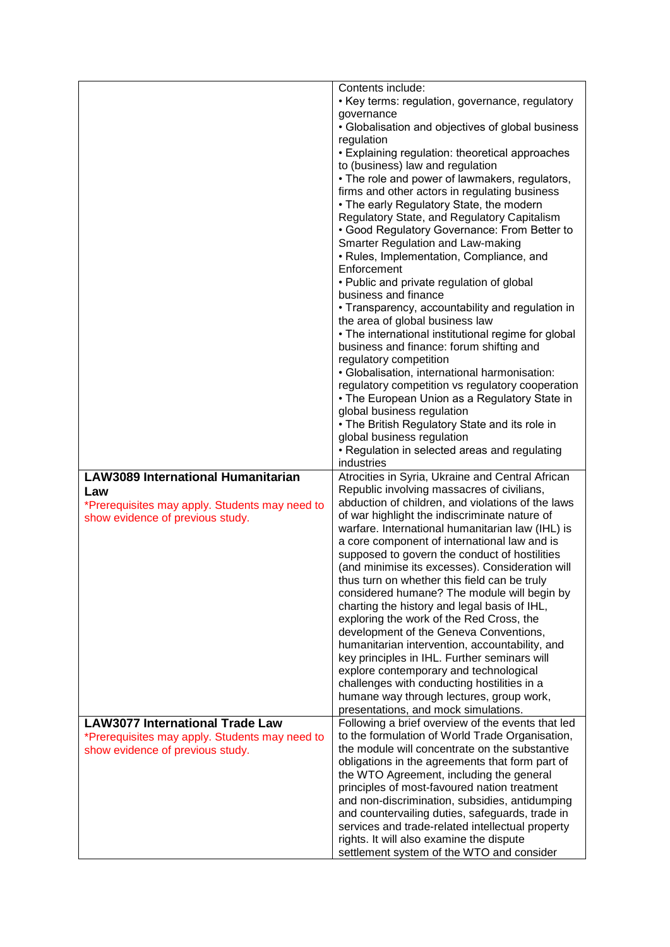|                                                | Contents include:                                                                                |
|------------------------------------------------|--------------------------------------------------------------------------------------------------|
|                                                | • Key terms: regulation, governance, regulatory                                                  |
|                                                | governance                                                                                       |
|                                                | • Globalisation and objectives of global business                                                |
|                                                | regulation                                                                                       |
|                                                | • Explaining regulation: theoretical approaches                                                  |
|                                                | to (business) law and regulation                                                                 |
|                                                | • The role and power of lawmakers, regulators,<br>firms and other actors in regulating business  |
|                                                | • The early Regulatory State, the modern                                                         |
|                                                | Regulatory State, and Regulatory Capitalism                                                      |
|                                                | • Good Regulatory Governance: From Better to                                                     |
|                                                | Smarter Regulation and Law-making                                                                |
|                                                | • Rules, Implementation, Compliance, and                                                         |
|                                                | Enforcement                                                                                      |
|                                                | • Public and private regulation of global                                                        |
|                                                | business and finance                                                                             |
|                                                | • Transparency, accountability and regulation in<br>the area of global business law              |
|                                                | • The international institutional regime for global                                              |
|                                                | business and finance: forum shifting and                                                         |
|                                                | regulatory competition                                                                           |
|                                                | · Globalisation, international harmonisation:                                                    |
|                                                | regulatory competition vs regulatory cooperation                                                 |
|                                                | • The European Union as a Regulatory State in                                                    |
|                                                | global business regulation                                                                       |
|                                                | • The British Regulatory State and its role in<br>global business regulation                     |
|                                                | • Regulation in selected areas and regulating                                                    |
|                                                | industries                                                                                       |
|                                                |                                                                                                  |
| <b>LAW3089 International Humanitarian</b>      | Atrocities in Syria, Ukraine and Central African                                                 |
| Law                                            | Republic involving massacres of civilians,                                                       |
| *Prerequisites may apply. Students may need to | abduction of children, and violations of the laws                                                |
| show evidence of previous study.               | of war highlight the indiscriminate nature of                                                    |
|                                                | warfare. International humanitarian law (IHL) is                                                 |
|                                                | a core component of international law and is                                                     |
|                                                | supposed to govern the conduct of hostilities<br>(and minimise its excesses). Consideration will |
|                                                | thus turn on whether this field can be truly                                                     |
|                                                | considered humane? The module will begin by                                                      |
|                                                | charting the history and legal basis of IHL,                                                     |
|                                                | exploring the work of the Red Cross, the                                                         |
|                                                | development of the Geneva Conventions,                                                           |
|                                                | humanitarian intervention, accountability, and                                                   |
|                                                | key principles in IHL. Further seminars will                                                     |
|                                                | explore contemporary and technological<br>challenges with conducting hostilities in a            |
|                                                | humane way through lectures, group work,                                                         |
|                                                | presentations, and mock simulations.                                                             |
| <b>LAW3077 International Trade Law</b>         | Following a brief overview of the events that led                                                |
| *Prerequisites may apply. Students may need to | to the formulation of World Trade Organisation,                                                  |
| show evidence of previous study.               | the module will concentrate on the substantive                                                   |
|                                                | obligations in the agreements that form part of<br>the WTO Agreement, including the general      |
|                                                | principles of most-favoured nation treatment                                                     |
|                                                | and non-discrimination, subsidies, antidumping                                                   |
|                                                | and countervailing duties, safeguards, trade in                                                  |
|                                                | services and trade-related intellectual property                                                 |
|                                                | rights. It will also examine the dispute<br>settlement system of the WTO and consider            |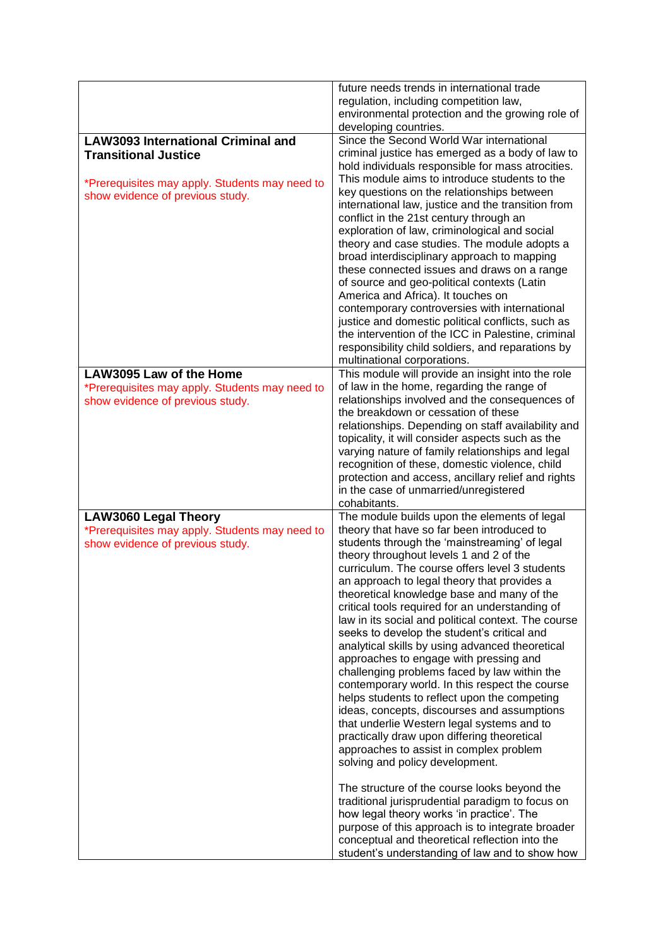|                                                                                                                   | future needs trends in international trade<br>regulation, including competition law,<br>environmental protection and the growing role of<br>developing countries.                                                                                                                                                                                                                                                                                                                                                                                                                                                                                                                                                                                                                                                                                                                                                                                                                                                                                                                                                                                                                                                                                                                |
|-------------------------------------------------------------------------------------------------------------------|----------------------------------------------------------------------------------------------------------------------------------------------------------------------------------------------------------------------------------------------------------------------------------------------------------------------------------------------------------------------------------------------------------------------------------------------------------------------------------------------------------------------------------------------------------------------------------------------------------------------------------------------------------------------------------------------------------------------------------------------------------------------------------------------------------------------------------------------------------------------------------------------------------------------------------------------------------------------------------------------------------------------------------------------------------------------------------------------------------------------------------------------------------------------------------------------------------------------------------------------------------------------------------|
| <b>LAW3093 International Criminal and</b><br><b>Transitional Justice</b>                                          | Since the Second World War international<br>criminal justice has emerged as a body of law to<br>hold individuals responsible for mass atrocities.<br>This module aims to introduce students to the                                                                                                                                                                                                                                                                                                                                                                                                                                                                                                                                                                                                                                                                                                                                                                                                                                                                                                                                                                                                                                                                               |
| *Prerequisites may apply. Students may need to<br>show evidence of previous study.                                | key questions on the relationships between<br>international law, justice and the transition from<br>conflict in the 21st century through an<br>exploration of law, criminological and social<br>theory and case studies. The module adopts a<br>broad interdisciplinary approach to mapping<br>these connected issues and draws on a range<br>of source and geo-political contexts (Latin<br>America and Africa). It touches on<br>contemporary controversies with international<br>justice and domestic political conflicts, such as<br>the intervention of the ICC in Palestine, criminal<br>responsibility child soldiers, and reparations by<br>multinational corporations.                                                                                                                                                                                                                                                                                                                                                                                                                                                                                                                                                                                                  |
| LAW3095 Law of the Home<br>*Prerequisites may apply. Students may need to<br>show evidence of previous study.     | This module will provide an insight into the role<br>of law in the home, regarding the range of<br>relationships involved and the consequences of<br>the breakdown or cessation of these<br>relationships. Depending on staff availability and<br>topicality, it will consider aspects such as the<br>varying nature of family relationships and legal<br>recognition of these, domestic violence, child<br>protection and access, ancillary relief and rights<br>in the case of unmarried/unregistered<br>cohabitants.                                                                                                                                                                                                                                                                                                                                                                                                                                                                                                                                                                                                                                                                                                                                                          |
| <b>LAW3060 Legal Theory</b><br>*Prerequisites may apply. Students may need to<br>show evidence of previous study. | The module builds upon the elements of legal<br>theory that have so far been introduced to<br>students through the 'mainstreaming' of legal<br>theory throughout levels 1 and 2 of the<br>curriculum. The course offers level 3 students<br>an approach to legal theory that provides a<br>theoretical knowledge base and many of the<br>critical tools required for an understanding of<br>law in its social and political context. The course<br>seeks to develop the student's critical and<br>analytical skills by using advanced theoretical<br>approaches to engage with pressing and<br>challenging problems faced by law within the<br>contemporary world. In this respect the course<br>helps students to reflect upon the competing<br>ideas, concepts, discourses and assumptions<br>that underlie Western legal systems and to<br>practically draw upon differing theoretical<br>approaches to assist in complex problem<br>solving and policy development.<br>The structure of the course looks beyond the<br>traditional jurisprudential paradigm to focus on<br>how legal theory works 'in practice'. The<br>purpose of this approach is to integrate broader<br>conceptual and theoretical reflection into the<br>student's understanding of law and to show how |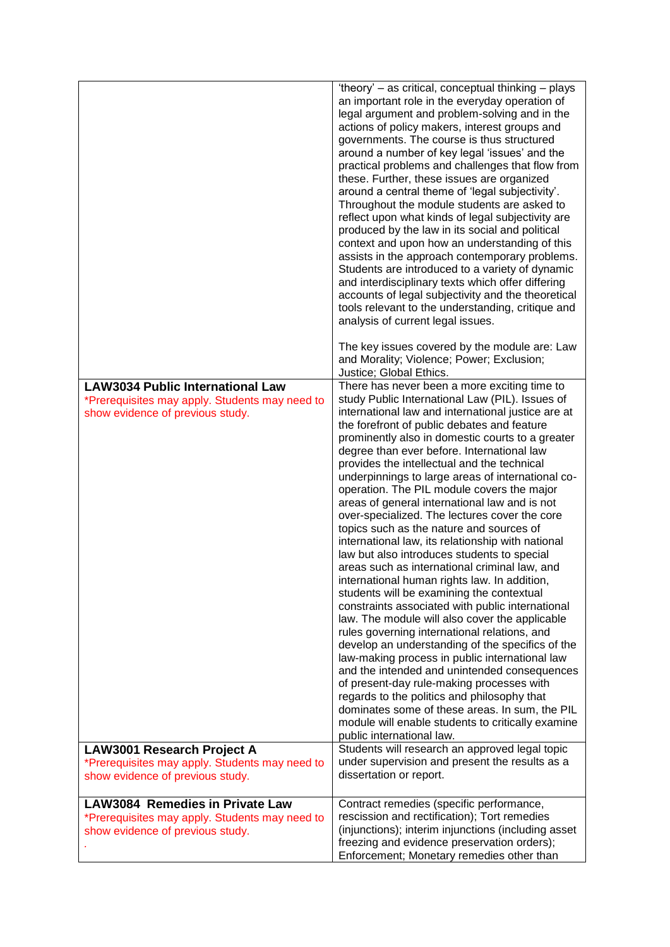|                                                                                                                               | 'theory' - as critical, conceptual thinking - plays<br>an important role in the everyday operation of<br>legal argument and problem-solving and in the<br>actions of policy makers, interest groups and<br>governments. The course is thus structured<br>around a number of key legal 'issues' and the<br>practical problems and challenges that flow from<br>these. Further, these issues are organized<br>around a central theme of 'legal subjectivity'.<br>Throughout the module students are asked to<br>reflect upon what kinds of legal subjectivity are<br>produced by the law in its social and political<br>context and upon how an understanding of this<br>assists in the approach contemporary problems.<br>Students are introduced to a variety of dynamic<br>and interdisciplinary texts which offer differing<br>accounts of legal subjectivity and the theoretical<br>tools relevant to the understanding, critique and<br>analysis of current legal issues.                                                                                                                                                                                                                                                                                                                                                                                                                        |
|-------------------------------------------------------------------------------------------------------------------------------|------------------------------------------------------------------------------------------------------------------------------------------------------------------------------------------------------------------------------------------------------------------------------------------------------------------------------------------------------------------------------------------------------------------------------------------------------------------------------------------------------------------------------------------------------------------------------------------------------------------------------------------------------------------------------------------------------------------------------------------------------------------------------------------------------------------------------------------------------------------------------------------------------------------------------------------------------------------------------------------------------------------------------------------------------------------------------------------------------------------------------------------------------------------------------------------------------------------------------------------------------------------------------------------------------------------------------------------------------------------------------------------------------|
|                                                                                                                               | The key issues covered by the module are: Law<br>and Morality; Violence; Power; Exclusion;<br>Justice; Global Ethics.                                                                                                                                                                                                                                                                                                                                                                                                                                                                                                                                                                                                                                                                                                                                                                                                                                                                                                                                                                                                                                                                                                                                                                                                                                                                                |
| <b>LAW3034 Public International Law</b><br>*Prerequisites may apply. Students may need to<br>show evidence of previous study. | There has never been a more exciting time to<br>study Public International Law (PIL). Issues of<br>international law and international justice are at<br>the forefront of public debates and feature<br>prominently also in domestic courts to a greater<br>degree than ever before. International law<br>provides the intellectual and the technical<br>underpinnings to large areas of international co-<br>operation. The PIL module covers the major<br>areas of general international law and is not<br>over-specialized. The lectures cover the core<br>topics such as the nature and sources of<br>international law, its relationship with national<br>law but also introduces students to special<br>areas such as international criminal law, and<br>international human rights law. In addition,<br>students will be examining the contextual<br>constraints associated with public international<br>law. The module will also cover the applicable<br>rules governing international relations, and<br>develop an understanding of the specifics of the<br>law-making process in public international law<br>and the intended and unintended consequences<br>of present-day rule-making processes with<br>regards to the politics and philosophy that<br>dominates some of these areas. In sum, the PIL<br>module will enable students to critically examine<br>public international law. |
| LAW3001 Research Project A<br>*Prerequisites may apply. Students may need to<br>show evidence of previous study.              | Students will research an approved legal topic<br>under supervision and present the results as a<br>dissertation or report.                                                                                                                                                                                                                                                                                                                                                                                                                                                                                                                                                                                                                                                                                                                                                                                                                                                                                                                                                                                                                                                                                                                                                                                                                                                                          |
| <b>LAW3084 Remedies in Private Law</b>                                                                                        | Contract remedies (specific performance,                                                                                                                                                                                                                                                                                                                                                                                                                                                                                                                                                                                                                                                                                                                                                                                                                                                                                                                                                                                                                                                                                                                                                                                                                                                                                                                                                             |
| *Prerequisites may apply. Students may need to<br>show evidence of previous study.                                            | rescission and rectification); Tort remedies<br>(injunctions); interim injunctions (including asset<br>freezing and evidence preservation orders);<br>Enforcement; Monetary remedies other than                                                                                                                                                                                                                                                                                                                                                                                                                                                                                                                                                                                                                                                                                                                                                                                                                                                                                                                                                                                                                                                                                                                                                                                                      |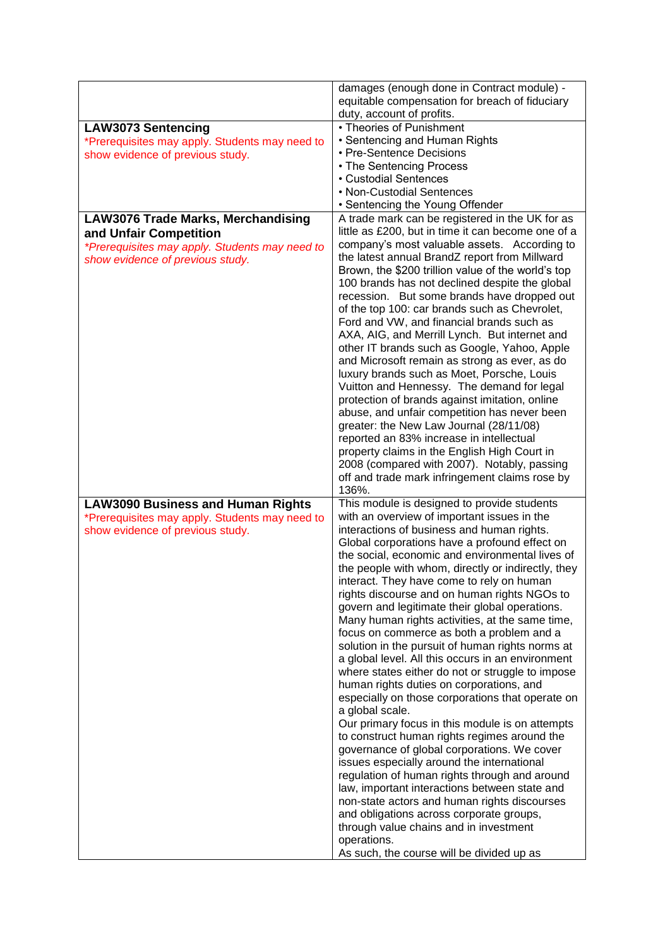|                                                | damages (enough done in Contract module) -                                                            |
|------------------------------------------------|-------------------------------------------------------------------------------------------------------|
|                                                | equitable compensation for breach of fiduciary                                                        |
|                                                | duty, account of profits.                                                                             |
| <b>LAW3073 Sentencing</b>                      | • Theories of Punishment                                                                              |
| *Prerequisites may apply. Students may need to | • Sentencing and Human Rights                                                                         |
| show evidence of previous study.               | • Pre-Sentence Decisions                                                                              |
|                                                | • The Sentencing Process                                                                              |
|                                                | • Custodial Sentences                                                                                 |
|                                                | • Non-Custodial Sentences                                                                             |
|                                                | • Sentencing the Young Offender                                                                       |
| <b>LAW3076 Trade Marks, Merchandising</b>      | A trade mark can be registered in the UK for as                                                       |
| and Unfair Competition                         | little as £200, but in time it can become one of a                                                    |
| *Prerequisites may apply. Students may need to | company's most valuable assets. According to                                                          |
| show evidence of previous study.               | the latest annual BrandZ report from Millward                                                         |
|                                                | Brown, the \$200 trillion value of the world's top                                                    |
|                                                | 100 brands has not declined despite the global                                                        |
|                                                | recession. But some brands have dropped out                                                           |
|                                                | of the top 100: car brands such as Chevrolet,                                                         |
|                                                | Ford and VW, and financial brands such as<br>AXA, AIG, and Merrill Lynch. But internet and            |
|                                                | other IT brands such as Google, Yahoo, Apple                                                          |
|                                                | and Microsoft remain as strong as ever, as do                                                         |
|                                                | luxury brands such as Moet, Porsche, Louis                                                            |
|                                                | Vuitton and Hennessy. The demand for legal                                                            |
|                                                | protection of brands against imitation, online                                                        |
|                                                | abuse, and unfair competition has never been                                                          |
|                                                | greater: the New Law Journal (28/11/08)                                                               |
|                                                | reported an 83% increase in intellectual                                                              |
|                                                | property claims in the English High Court in                                                          |
|                                                | 2008 (compared with 2007). Notably, passing                                                           |
|                                                | off and trade mark infringement claims rose by                                                        |
|                                                | 136%.                                                                                                 |
| <b>LAW3090 Business and Human Rights</b>       | This module is designed to provide students                                                           |
| *Prerequisites may apply. Students may need to | with an overview of important issues in the                                                           |
| show evidence of previous study.               | interactions of business and human rights.                                                            |
|                                                | Global corporations have a profound effect on                                                         |
|                                                | the social, economic and environmental lives of                                                       |
|                                                | the people with whom, directly or indirectly, they                                                    |
|                                                | interact. They have come to rely on human                                                             |
|                                                | rights discourse and on human rights NGOs to                                                          |
|                                                | govern and legitimate their global operations.                                                        |
|                                                | Many human rights activities, at the same time,                                                       |
|                                                | focus on commerce as both a problem and a                                                             |
|                                                | solution in the pursuit of human rights norms at<br>a global level. All this occurs in an environment |
|                                                | where states either do not or struggle to impose                                                      |
|                                                | human rights duties on corporations, and                                                              |
|                                                | especially on those corporations that operate on                                                      |
|                                                | a global scale.                                                                                       |
|                                                | Our primary focus in this module is on attempts                                                       |
|                                                | to construct human rights regimes around the                                                          |
|                                                | governance of global corporations. We cover                                                           |
|                                                | issues especially around the international                                                            |
|                                                | regulation of human rights through and around                                                         |
|                                                | law, important interactions between state and                                                         |
|                                                | non-state actors and human rights discourses                                                          |
|                                                | and obligations across corporate groups,                                                              |
|                                                | through value chains and in investment                                                                |
|                                                | operations.                                                                                           |
|                                                | As such, the course will be divided up as                                                             |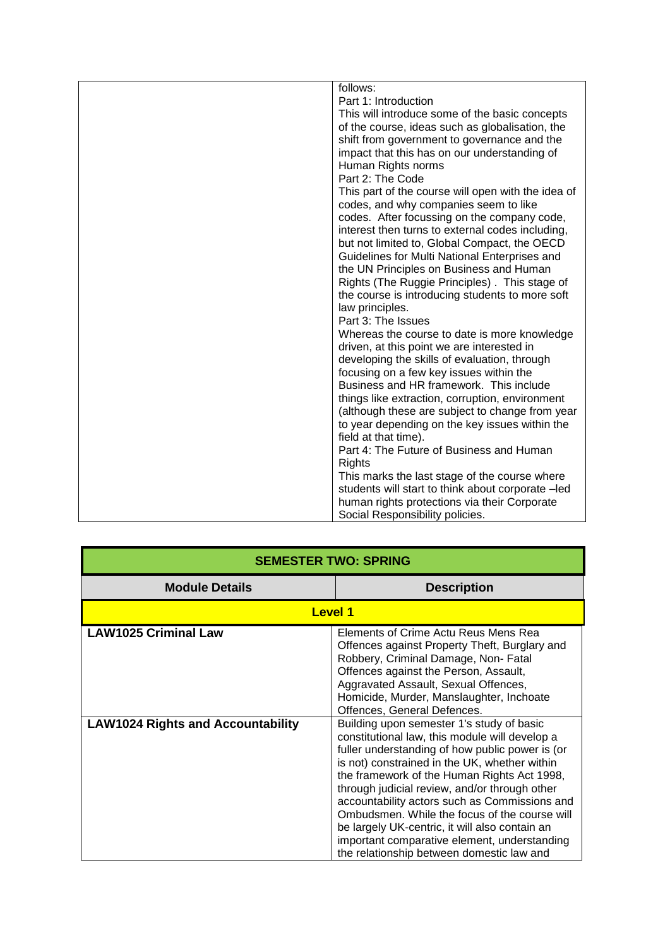| follows:                                           |
|----------------------------------------------------|
| Part 1: Introduction                               |
| This will introduce some of the basic concepts     |
| of the course, ideas such as globalisation, the    |
| shift from government to governance and the        |
| impact that this has on our understanding of       |
| Human Rights norms                                 |
| Part 2: The Code                                   |
| This part of the course will open with the idea of |
| codes, and why companies seem to like              |
| codes. After focussing on the company code,        |
| interest then turns to external codes including,   |
| but not limited to, Global Compact, the OECD       |
| Guidelines for Multi National Enterprises and      |
| the UN Principles on Business and Human            |
| Rights (The Ruggie Principles). This stage of      |
| the course is introducing students to more soft    |
| law principles.                                    |
| Part 3: The Issues                                 |
| Whereas the course to date is more knowledge       |
| driven, at this point we are interested in         |
| developing the skills of evaluation, through       |
| focusing on a few key issues within the            |
| Business and HR framework. This include            |
| things like extraction, corruption, environment    |
| (although these are subject to change from year    |
| to year depending on the key issues within the     |
| field at that time).                               |
| Part 4: The Future of Business and Human           |
| Rights                                             |
| This marks the last stage of the course where      |
| students will start to think about corporate -led  |
| human rights protections via their Corporate       |
| Social Responsibility policies.                    |

| <b>SEMESTER TWO: SPRING</b>              |                                                                                                                                                                                                                                                                                                                                                                                                                                                                                                                                                  |
|------------------------------------------|--------------------------------------------------------------------------------------------------------------------------------------------------------------------------------------------------------------------------------------------------------------------------------------------------------------------------------------------------------------------------------------------------------------------------------------------------------------------------------------------------------------------------------------------------|
| <b>Module Details</b>                    | <b>Description</b>                                                                                                                                                                                                                                                                                                                                                                                                                                                                                                                               |
| <b>Level 1</b>                           |                                                                                                                                                                                                                                                                                                                                                                                                                                                                                                                                                  |
| <b>LAW1025 Criminal Law</b>              | Elements of Crime Actu Reus Mens Rea<br>Offences against Property Theft, Burglary and<br>Robbery, Criminal Damage, Non-Fatal<br>Offences against the Person, Assault,<br>Aggravated Assault, Sexual Offences,<br>Homicide, Murder, Manslaughter, Inchoate<br>Offences, General Defences.                                                                                                                                                                                                                                                         |
| <b>LAW1024 Rights and Accountability</b> | Building upon semester 1's study of basic<br>constitutional law, this module will develop a<br>fuller understanding of how public power is (or<br>is not) constrained in the UK, whether within<br>the framework of the Human Rights Act 1998,<br>through judicial review, and/or through other<br>accountability actors such as Commissions and<br>Ombudsmen. While the focus of the course will<br>be largely UK-centric, it will also contain an<br>important comparative element, understanding<br>the relationship between domestic law and |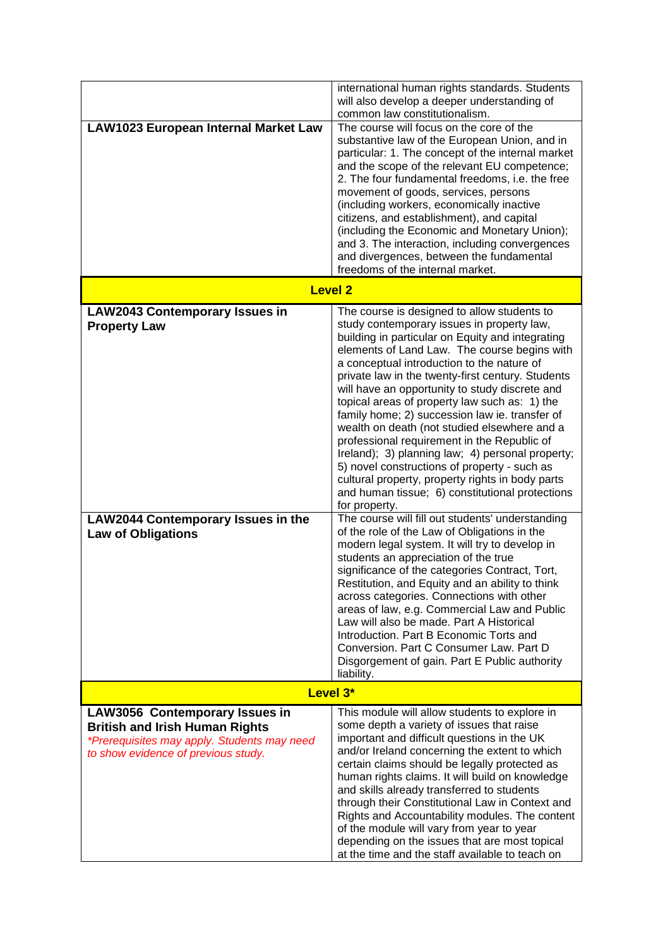|                                                                                                                                        | international human rights standards. Students<br>will also develop a deeper understanding of<br>common law constitutionalism.                                                                                                                                                                                                                                                                                                                                                                                                                                                                                                                                                                                                                                                                                                                                                                                                                                                                                                                                                                                                                                                                                                                                                                                                                                      |
|----------------------------------------------------------------------------------------------------------------------------------------|---------------------------------------------------------------------------------------------------------------------------------------------------------------------------------------------------------------------------------------------------------------------------------------------------------------------------------------------------------------------------------------------------------------------------------------------------------------------------------------------------------------------------------------------------------------------------------------------------------------------------------------------------------------------------------------------------------------------------------------------------------------------------------------------------------------------------------------------------------------------------------------------------------------------------------------------------------------------------------------------------------------------------------------------------------------------------------------------------------------------------------------------------------------------------------------------------------------------------------------------------------------------------------------------------------------------------------------------------------------------|
| <b>LAW1023 European Internal Market Law</b>                                                                                            | The course will focus on the core of the<br>substantive law of the European Union, and in<br>particular: 1. The concept of the internal market<br>and the scope of the relevant EU competence;<br>2. The four fundamental freedoms, i.e. the free<br>movement of goods, services, persons<br>(including workers, economically inactive<br>citizens, and establishment), and capital<br>(including the Economic and Monetary Union);<br>and 3. The interaction, including convergences<br>and divergences, between the fundamental<br>freedoms of the internal market.                                                                                                                                                                                                                                                                                                                                                                                                                                                                                                                                                                                                                                                                                                                                                                                               |
|                                                                                                                                        | <b>Level 2</b>                                                                                                                                                                                                                                                                                                                                                                                                                                                                                                                                                                                                                                                                                                                                                                                                                                                                                                                                                                                                                                                                                                                                                                                                                                                                                                                                                      |
| <b>LAW2043 Contemporary Issues in</b><br><b>Property Law</b><br><b>LAW2044 Contemporary Issues in the</b><br><b>Law of Obligations</b> | The course is designed to allow students to<br>study contemporary issues in property law,<br>building in particular on Equity and integrating<br>elements of Land Law. The course begins with<br>a conceptual introduction to the nature of<br>private law in the twenty-first century. Students<br>will have an opportunity to study discrete and<br>topical areas of property law such as: 1) the<br>family home; 2) succession law ie. transfer of<br>wealth on death (not studied elsewhere and a<br>professional requirement in the Republic of<br>Ireland); 3) planning law; 4) personal property;<br>5) novel constructions of property - such as<br>cultural property, property rights in body parts<br>and human tissue; 6) constitutional protections<br>for property.<br>The course will fill out students' understanding<br>of the role of the Law of Obligations in the<br>modern legal system. It will try to develop in<br>students an appreciation of the true<br>significance of the categories Contract, Tort,<br>Restitution, and Equity and an ability to think<br>across categories. Connections with other<br>areas of law, e.g. Commercial Law and Public<br>Law will also be made. Part A Historical<br>Introduction. Part B Economic Torts and<br>Conversion, Part C Consumer Law, Part D<br>Disgorgement of gain. Part E Public authority |
|                                                                                                                                        | liability.<br>Level 3*                                                                                                                                                                                                                                                                                                                                                                                                                                                                                                                                                                                                                                                                                                                                                                                                                                                                                                                                                                                                                                                                                                                                                                                                                                                                                                                                              |
| <b>LAW3056 Contemporary Issues in</b>                                                                                                  | This module will allow students to explore in                                                                                                                                                                                                                                                                                                                                                                                                                                                                                                                                                                                                                                                                                                                                                                                                                                                                                                                                                                                                                                                                                                                                                                                                                                                                                                                       |
| <b>British and Irish Human Rights</b><br>*Prerequisites may apply. Students may need<br>to show evidence of previous study.            | some depth a variety of issues that raise<br>important and difficult questions in the UK<br>and/or Ireland concerning the extent to which<br>certain claims should be legally protected as<br>human rights claims. It will build on knowledge<br>and skills already transferred to students<br>through their Constitutional Law in Context and<br>Rights and Accountability modules. The content<br>of the module will vary from year to year<br>depending on the issues that are most topical<br>at the time and the staff available to teach on                                                                                                                                                                                                                                                                                                                                                                                                                                                                                                                                                                                                                                                                                                                                                                                                                   |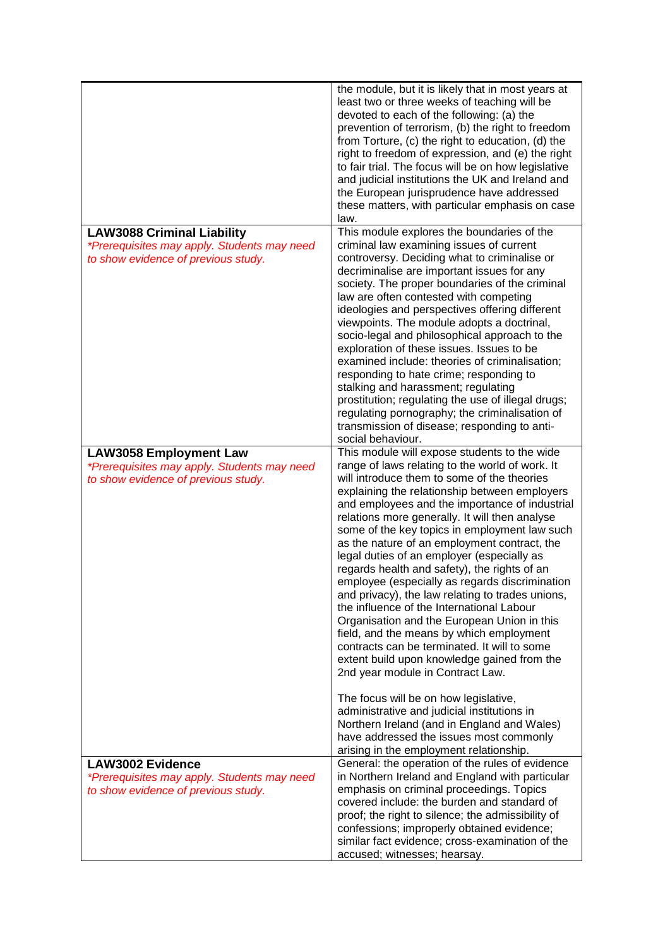|                                                                                                                         | the module, but it is likely that in most years at<br>least two or three weeks of teaching will be<br>devoted to each of the following: (a) the<br>prevention of terrorism, (b) the right to freedom<br>from Torture, (c) the right to education, (d) the<br>right to freedom of expression, and (e) the right<br>to fair trial. The focus will be on how legislative<br>and judicial institutions the UK and Ireland and<br>the European jurisprudence have addressed<br>these matters, with particular emphasis on case<br>law.                                                                                                                                                                                                                                                                                                                                                   |
|-------------------------------------------------------------------------------------------------------------------------|-------------------------------------------------------------------------------------------------------------------------------------------------------------------------------------------------------------------------------------------------------------------------------------------------------------------------------------------------------------------------------------------------------------------------------------------------------------------------------------------------------------------------------------------------------------------------------------------------------------------------------------------------------------------------------------------------------------------------------------------------------------------------------------------------------------------------------------------------------------------------------------|
| <b>LAW3088 Criminal Liability</b><br>*Prerequisites may apply. Students may need<br>to show evidence of previous study. | This module explores the boundaries of the<br>criminal law examining issues of current<br>controversy. Deciding what to criminalise or<br>decriminalise are important issues for any<br>society. The proper boundaries of the criminal<br>law are often contested with competing<br>ideologies and perspectives offering different<br>viewpoints. The module adopts a doctrinal,<br>socio-legal and philosophical approach to the<br>exploration of these issues. Issues to be<br>examined include: theories of criminalisation;<br>responding to hate crime; responding to<br>stalking and harassment; regulating<br>prostitution; regulating the use of illegal drugs;<br>regulating pornography; the criminalisation of<br>transmission of disease; responding to anti-<br>social behaviour.                                                                                     |
| <b>LAW3058 Employment Law</b><br>*Prerequisites may apply. Students may need<br>to show evidence of previous study.     | This module will expose students to the wide<br>range of laws relating to the world of work. It<br>will introduce them to some of the theories<br>explaining the relationship between employers<br>and employees and the importance of industrial<br>relations more generally. It will then analyse<br>some of the key topics in employment law such<br>as the nature of an employment contract, the<br>legal duties of an employer (especially as<br>regards health and safety), the rights of an<br>employee (especially as regards discrimination<br>and privacy), the law relating to trades unions,<br>the influence of the International Labour<br>Organisation and the European Union in this<br>field, and the means by which employment<br>contracts can be terminated. It will to some<br>extent build upon knowledge gained from the<br>2nd year module in Contract Law. |
|                                                                                                                         | The focus will be on how legislative,<br>administrative and judicial institutions in<br>Northern Ireland (and in England and Wales)<br>have addressed the issues most commonly<br>arising in the employment relationship.                                                                                                                                                                                                                                                                                                                                                                                                                                                                                                                                                                                                                                                           |
| <b>LAW3002 Evidence</b><br>*Prerequisites may apply. Students may need<br>to show evidence of previous study.           | General: the operation of the rules of evidence<br>in Northern Ireland and England with particular<br>emphasis on criminal proceedings. Topics<br>covered include: the burden and standard of<br>proof; the right to silence; the admissibility of<br>confessions; improperly obtained evidence;<br>similar fact evidence; cross-examination of the<br>accused; witnesses; hearsay.                                                                                                                                                                                                                                                                                                                                                                                                                                                                                                 |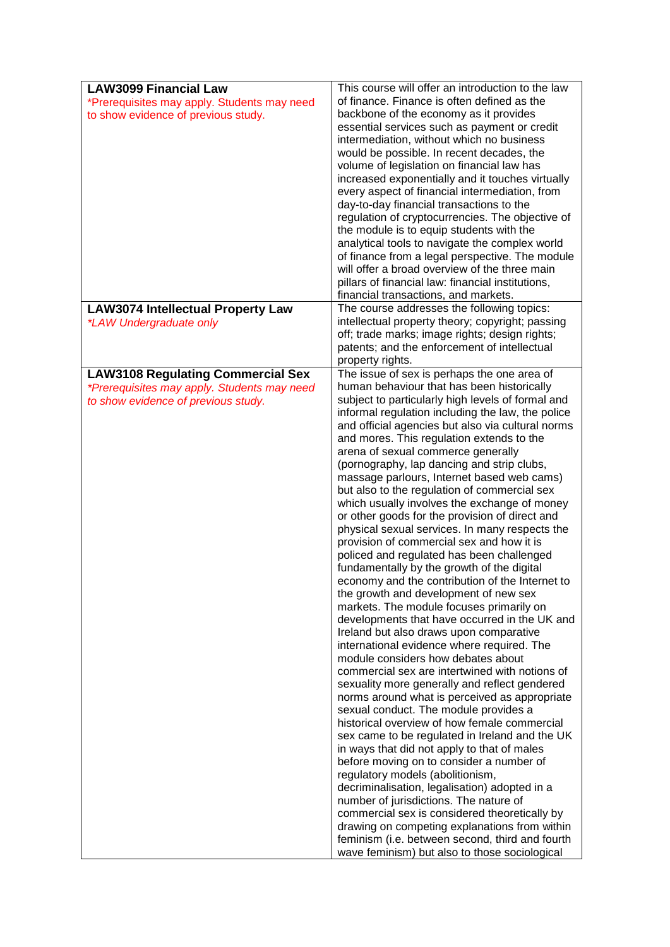| <b>LAW3099 Financial Law</b>                                        | This course will offer an introduction to the law                                              |
|---------------------------------------------------------------------|------------------------------------------------------------------------------------------------|
| *Prerequisites may apply. Students may need                         | of finance. Finance is often defined as the                                                    |
| to show evidence of previous study.                                 | backbone of the economy as it provides                                                         |
|                                                                     | essential services such as payment or credit                                                   |
|                                                                     | intermediation, without which no business                                                      |
|                                                                     | would be possible. In recent decades, the                                                      |
|                                                                     | volume of legislation on financial law has                                                     |
|                                                                     | increased exponentially and it touches virtually                                               |
|                                                                     | every aspect of financial intermediation, from                                                 |
|                                                                     | day-to-day financial transactions to the                                                       |
|                                                                     | regulation of cryptocurrencies. The objective of                                               |
|                                                                     | the module is to equip students with the                                                       |
|                                                                     | analytical tools to navigate the complex world                                                 |
|                                                                     | of finance from a legal perspective. The module                                                |
|                                                                     | will offer a broad overview of the three main                                                  |
|                                                                     | pillars of financial law: financial institutions,                                              |
|                                                                     | financial transactions, and markets.<br>The course addresses the following topics:             |
| <b>LAW3074 Intellectual Property Law</b><br>*LAW Undergraduate only | intellectual property theory; copyright; passing                                               |
|                                                                     | off; trade marks; image rights; design rights;                                                 |
|                                                                     | patents; and the enforcement of intellectual                                                   |
|                                                                     | property rights.                                                                               |
| <b>LAW3108 Regulating Commercial Sex</b>                            | The issue of sex is perhaps the one area of                                                    |
| *Prerequisites may apply. Students may need                         | human behaviour that has been historically                                                     |
| to show evidence of previous study.                                 | subject to particularly high levels of formal and                                              |
|                                                                     | informal regulation including the law, the police                                              |
|                                                                     | and official agencies but also via cultural norms                                              |
|                                                                     | and mores. This regulation extends to the                                                      |
|                                                                     | arena of sexual commerce generally                                                             |
|                                                                     | (pornography, lap dancing and strip clubs,                                                     |
|                                                                     | massage parlours, Internet based web cams)                                                     |
|                                                                     | but also to the regulation of commercial sex                                                   |
|                                                                     | which usually involves the exchange of money                                                   |
|                                                                     | or other goods for the provision of direct and                                                 |
|                                                                     | physical sexual services. In many respects the<br>provision of commercial sex and how it is    |
|                                                                     | policed and regulated has been challenged                                                      |
|                                                                     | fundamentally by the growth of the digital                                                     |
|                                                                     | economy and the contribution of the Internet to                                                |
|                                                                     | the growth and development of new sex                                                          |
|                                                                     | markets. The module focuses primarily on                                                       |
|                                                                     | developments that have occurred in the UK and                                                  |
|                                                                     | Ireland but also draws upon comparative                                                        |
|                                                                     | international evidence where required. The                                                     |
|                                                                     | module considers how debates about                                                             |
|                                                                     | commercial sex are intertwined with notions of                                                 |
|                                                                     | sexuality more generally and reflect gendered                                                  |
|                                                                     | norms around what is perceived as appropriate                                                  |
|                                                                     | sexual conduct. The module provides a                                                          |
|                                                                     | historical overview of how female commercial                                                   |
|                                                                     | sex came to be regulated in Ireland and the UK                                                 |
|                                                                     | in ways that did not apply to that of males                                                    |
|                                                                     | before moving on to consider a number of                                                       |
|                                                                     | regulatory models (abolitionism,                                                               |
|                                                                     | decriminalisation, legalisation) adopted in a                                                  |
|                                                                     | number of jurisdictions. The nature of                                                         |
|                                                                     | commercial sex is considered theoretically by<br>drawing on competing explanations from within |
|                                                                     | feminism (i.e. between second, third and fourth                                                |
|                                                                     | wave feminism) but also to those sociological                                                  |
|                                                                     |                                                                                                |